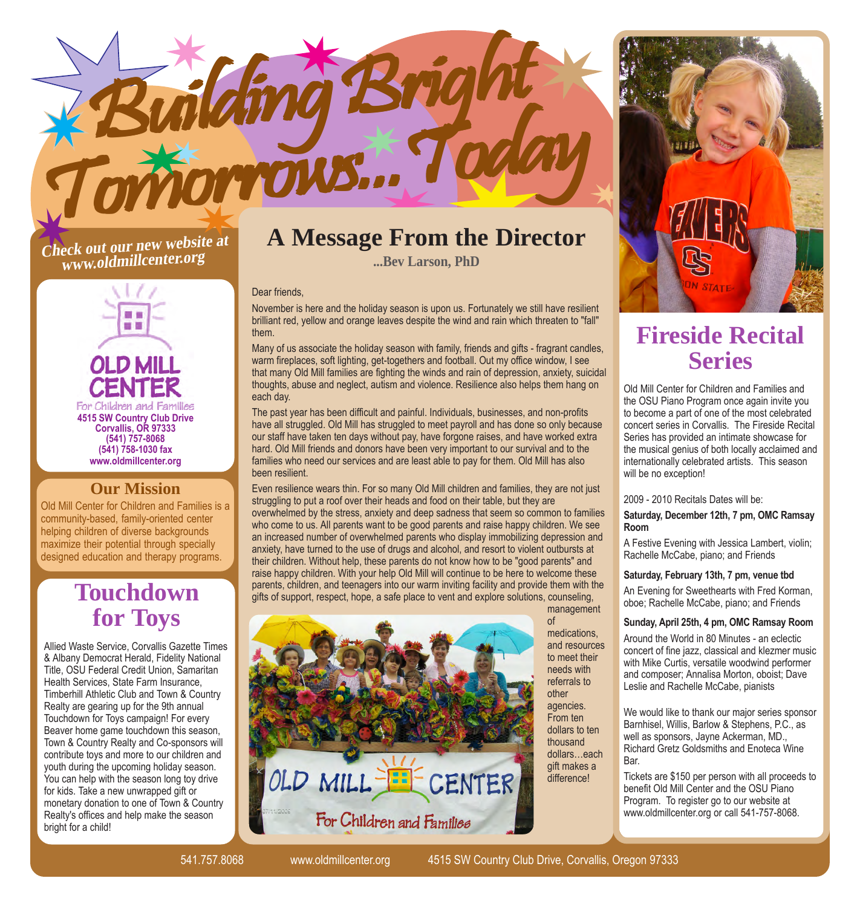

# **Check out our new website at www.oldmillcenter.org**



### **Our Mission**

Old Mill Center for Children and Families is a community-based, family-oriented center helping children of diverse backgrounds maximize their potential through specially designed education and therapy programs.

## **Touchdown for Toys**

Allied Waste Service, Corvallis Gazette Times & Albany Democrat Herald, Fidelity National Title, OSU Federal Credit Union, Samaritan Health Services, State Farm Insurance, Timberhill Athletic Club and Town & Country Realty are gearing up for the 9th annual Touchdown for Toys campaign! For every Beaver home game touchdown this season, Town & Country Realty and Co-sponsors will contribute toys and more to our children and youth during the upcoming holiday season. You can help with the season long toy drive for kids. Take a new unwrapped gift or monetary donation to one of Town & Country Realty's offices and help make the season bright for a child!

## **A Message From the Director**

**...Bev Larson, PhD**

#### Dear friends,

November is here and the holiday season is upon us. Fortunately we still have resilient brilliant red, yellow and orange leaves despite the wind and rain which threaten to "fall" them.

Many of us associate the holiday season with family, friends and gifts - fragrant candles, warm fireplaces, soft lighting, get-togethers and football. Out my office window, I see that many Old Mill families are fighting the winds and rain of depression, anxiety, suicidal thoughts, abuse and neglect, autism and violence. Resilience also helps them hang on each day.

The past year has been difficult and painful. Individuals, businesses, and non-profits have all struggled. Old Mill has struggled to meet payroll and has done so only because our staff have taken ten days without pay, have forgone raises, and have worked extra hard. Old Mill friends and donors have been very important to our survival and to the families who need our services and are least able to pay for them. Old Mill has also been resilient.

Even resilience wears thin. For so many Old Mill children and families, they are not just struggling to put a roof over their heads and food on their table, but they are overwhelmed by the stress, anxiety and deep sadness that seem so common to families who come to us. All parents want to be good parents and raise happy children. We see an increased number of overwhelmed parents who display immobilizing depression and anxiety, have turned to the use of drugs and alcohol, and resort to violent outbursts at their children. Without help, these parents do not know how to be "good parents" and raise happy children. With your help Old Mill will continue to be here to welcome these parents, children, and teenagers into our warm inviting facility and provide them with the gifts of support, respect, hope, a safe place to vent and explore solutions, counseling,





## **Fireside Recital Series**

Old Mill Center for Children and Families and the OSU Piano Program once again invite you to become a part of one of the most celebrated concert series in Corvallis. The Fireside Recital Series has provided an intimate showcase for the musical genius of both locally acclaimed and internationally celebrated artists. This season will be no exception!

#### 2009 - 2010 Recitals Dates will be:

**Saturday, December 12th, 7 pm, OMC Ramsay Room**

A Festive Evening with Jessica Lambert, violin; Rachelle McCabe, piano; and Friends

#### **Saturday, February 13th, 7 pm, venue tbd**

An Evening for Sweethearts with Fred Korman, oboe; Rachelle McCabe, piano; and Friends

### **Sunday, April 25th, 4 pm, OMC Ramsay Room**

Around the World in 80 Minutes - an eclectic concert of fine jazz, classical and klezmer music with Mike Curtis, versatile woodwind performer and composer; Annalisa Morton, oboist; Dave Leslie and Rachelle McCabe, pianists

We would like to thank our major series sponsor Barnhisel, Willis, Barlow & Stephens, P.C., as well as sponsors, Jayne Ackerman, MD., Richard Gretz Goldsmiths and Enoteca Wine **Bar** 

Tickets are \$150 per person with all proceeds to benefit Old Mill Center and the OSU Piano Program. To register go to our website at www.oldmillcenter.org or call 541-757-8068.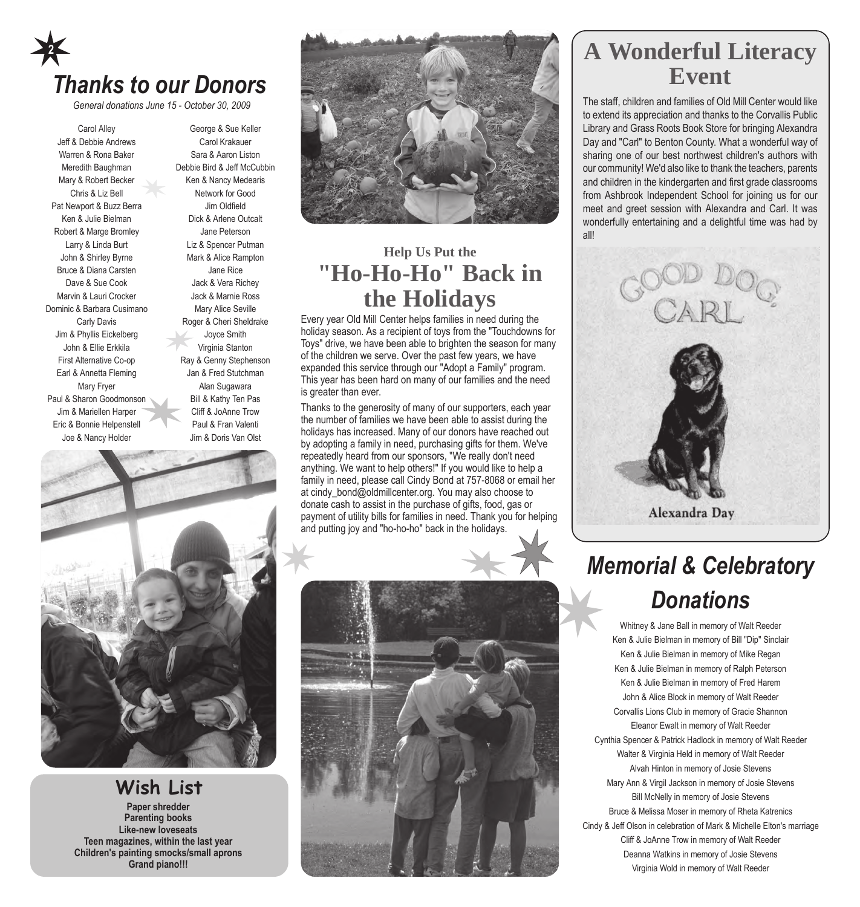# *Thanks to our Donors* **2**

*General donations June 15 - October 30, 2009*

Carol Alley Jeff & Debbie Andrews Warren & Rona Baker Meredith Baughman Mary & Robert Becker Chris & Liz Bell Pat Newport & Buzz Berra Ken & Julie Bielman Robert & Marge Bromley Larry & Linda Burt John & Shirley Byrne Bruce & Diana Carsten Dave & Sue Cook Marvin & Lauri Crocker Dominic & Barbara Cusimano Carly Davis Jim & Phyllis Eickelberg John & Ellie Erkkila First Alternative Co-op Earl & Annetta Fleming Mary Fryer Paul & Sharon Goodmonson Jim & Mariellen Harper Eric & Bonnie Helpenstell Joe & Nancy Holder

George & Sue Keller Carol Krakauer Sara & Aaron Liston Debbie Bird & Jeff McCubbin Ken & Nancy Medearis Network for Good Jim Oldfield Dick & Arlene Outcalt Jane Peterson Liz & Spencer Putman Mark & Alice Rampton Jane Rice Jack & Vera Richey Jack & Marnie Ross Mary Alice Seville Roger & Cheri Sheldrake Joyce Smith Virginia Stanton Ray & Genny Stephenson Jan & Fred Stutchman Alan Sugawara Bill & Kathy Ten Pas Cliff & JoAnne Trow Paul & Fran Valenti Jim & Doris Van Olst



### **Wish List**

**Paper shredder Parenting books Like-new loveseats Teen magazines, within the last year Children's painting smocks/small aprons Grand piano!!!**



## **Help Us Put the "Ho-Ho-Ho" Back in the Holidays**

Every year Old Mill Center helps families in need during the holiday season. As a recipient of toys from the "Touchdowns for Toys" drive, we have been able to brighten the season for many of the children we serve. Over the past few years, we have expanded this service through our "Adopt a Family" program. This year has been hard on many of our families and the need is greater than ever.

Thanks to the generosity of many of our supporters, each year the number of families we have been able to assist during the holidays has increased. Many of our donors have reached out by adopting a family in need, purchasing gifts for them. We've repeatedly heard from our sponsors, "We really don't need anything. We want to help others!" If you would like to help a family in need, please call Cindy Bond at 757-8068 or email her at cindy\_bond@oldmillcenter.org. You may also choose to donate cash to assist in the purchase of gifts, food, gas or payment of utility bills for families in need. Thank you for helping and putting joy and "ho-ho-ho" back in the holidays.



## **A Wonderful Literacy Event**

The staff, children and families of Old Mill Center would like to extend its appreciation and thanks to the Corvallis Public Library and Grass Roots Book Store for bringing Alexandra Day and "Carl" to Benton County. What a wonderful way of sharing one of our best northwest children's authors with our community! We'd also like to thank the teachers, parents and children in the kindergarten and first grade classrooms from Ashbrook Independent School for joining us for our meet and greet session with Alexandra and Carl. It was wonderfully entertaining and a delightful time was had by all!



# *Memorial & Celebratory Donations*

Whitney & Jane Ball in memory of Walt Reeder Ken & Julie Bielman in memory of Bill "Dip" Sinclair Ken & Julie Bielman in memory of Mike Regan Ken & Julie Bielman in memory of Ralph Peterson Ken & Julie Bielman in memory of Fred Harem John & Alice Block in memory of Walt Reeder Corvallis Lions Club in memory of Gracie Shannon Eleanor Ewalt in memory of Walt Reeder Cynthia Spencer & Patrick Hadlock in memory of Walt Reeder Walter & Virginia Held in memory of Walt Reeder Alvah Hinton in memory of Josie Stevens Mary Ann & Virgil Jackson in memory of Josie Stevens Bill McNelly in memory of Josie Stevens Bruce & Melissa Moser in memory of Rheta Katrenics Cindy & Jeff Olson in celebration of Mark & Michelle Elton's marriage Cliff & JoAnne Trow in memory of Walt Reeder Deanna Watkins in memory of Josie Stevens Virginia Wold in memory of Walt Reeder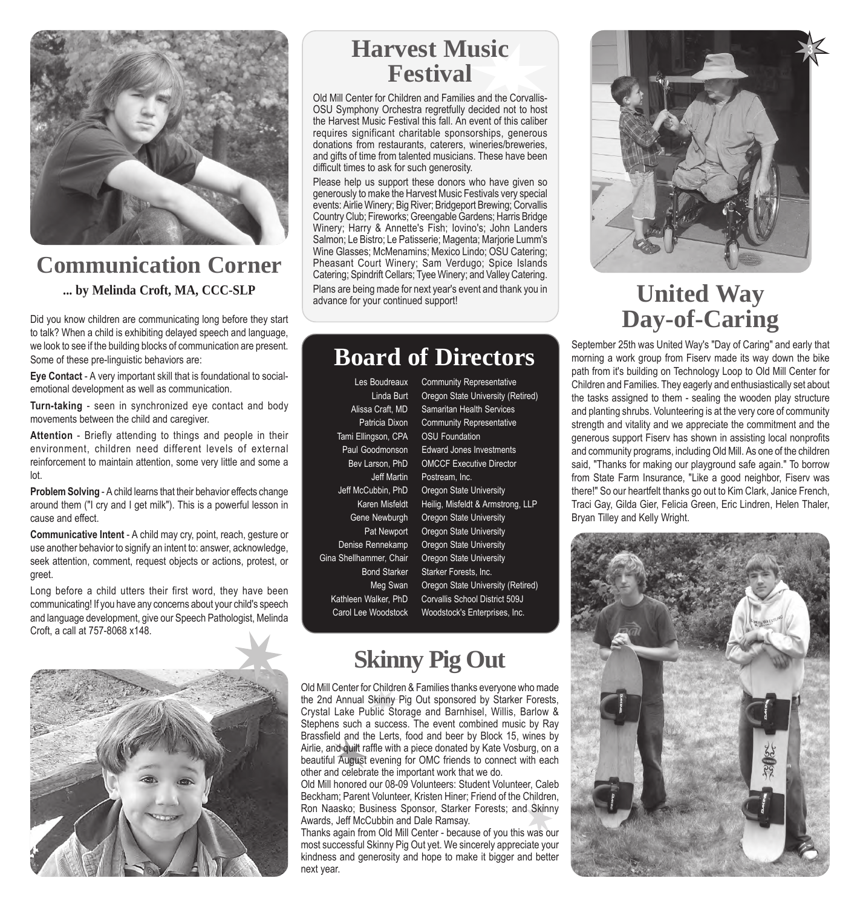

## **Communication Corner ... by Melinda Croft, MA, CCC-SLP**

Did you know children are communicating long before they start to talk? When a child is exhibiting delayed speech and language, we look to see if the building blocks of communication are present. Some of these pre-linguistic behaviors are:

**Eye Contact** - A very important skill that is foundational to socialemotional development as well as communication.

**Turn-taking** - seen in synchronized eye contact and body movements between the child and caregiver.

**Attention** - Briefly attending to things and people in their environment, children need different levels of external reinforcement to maintain attention, some very little and some a lot.

**Problem Solving** - A child learns that their behavior effects change around them ("I cry and I get milk"). This is a powerful lesson in cause and effect.

**Communicative Intent** - A child may cry, point, reach, gesture or use another behavior to signify an intent to: answer, acknowledge, seek attention, comment, request objects or actions, protest, or greet.

Long before a child utters their first word, they have been communicating! If you have any concerns about your child's speech and language development, give our Speech Pathologist, Melinda Croft, a call at 757-8068 x148.



## **Harvest Music Festival**

Old Mill Center for Children and Families and the Corvallis-OSU Symphony Orchestra regretfully decided not to host the Harvest Music Festival this fall. An event of this caliber requires significant charitable sponsorships, generous donations from restaurants, caterers, wineries/breweries, and gifts of time from talented musicians. These have been difficult times to ask for such generosity.

Please help us support these donors who have given so generously to make the Harvest Music Festivals very special events: Airlie Winery; Big River; Bridgeport Brewing; Corvallis Country Club; Fireworks; Greengable Gardens; Harris Bridge Winery; Harry & Annette's Fish; Iovino's; John Landers Salmon; Le Bistro; Le Patisserie; Magenta; Marjorie Lumm's Wine Glasses; McMenamins; Mexico Lindo; OSU Catering; Pheasant Court Winery; Sam Verdugo; Spice Islands Catering; Spindrift Cellars; Tyee Winery; and Valley Catering. Plans are being made for next year's event and thank you in advance for your continued support!

## **Board of Directors**

Les Boudreaux Community Representative Tami Ellingson, CPA OSU Foundation

Linda Burt Oregon State University (Retired) Alissa Craft, MD Samaritan Health Services Patricia Dixon Community Representative Paul Goodmonson Edward Jones Investments Bev Larson, PhD OMCCF Executive Director Jeff Martin Postream, Inc. Jeff McCubbin, PhD Oregon State University Karen Misfeldt Heilig, Misfeldt & Armstrong, LLP Gene Newburgh Oregon State University Pat Newport Oregon State University Denise Rennekamp Oregon State University Gina Shellhammer, Chair Oregon State University Bond Starker Starker Forests, Inc. Meg Swan Oregon State University (Retired) Kathleen Walker, PhD Corvallis School District 509J Carol Lee Woodstock Woodstock's Enterprises, Inc.

# **Skinny Pig Out**

Old Mill Center for Children & Families thanks everyone who made the 2nd Annual Skinny Pig Out sponsored by Starker Forests, Crystal Lake Public Storage and Barnhisel, Willis, Barlow & Stephens such a success. The event combined music by Ray Brassfield and the Lerts, food and beer by Block 15, wines by Airlie, and quilt raffle with a piece donated by Kate Vosburg, on a beautiful August evening for OMC friends to connect with each other and celebrate the important work that we do.

Old Mill honored our 08-09 Volunteers: Student Volunteer, Caleb Beckham; Parent Volunteer, Kristen Hiner; Friend of the Children, Ron Naasko; Business Sponsor, Starker Forests; and Skinny Awards, Jeff McCubbin and Dale Ramsay.

Thanks again from Old Mill Center - because of you this was our most successful Skinny Pig Out yet. We sincerely appreciate your kindness and generosity and hope to make it bigger and better next year.



# **United Way Day-of-Caring**

September 25th was United Way's "Day of Caring" and early that morning a work group from Fiserv made its way down the bike path from it's building on Technology Loop to Old Mill Center for Children and Families. They eagerly and enthusiastically set about the tasks assigned to them - sealing the wooden play structure and planting shrubs. Volunteering is at the very core of community strength and vitality and we appreciate the commitment and the generous support Fiserv has shown in assisting local nonprofits and community programs, including Old Mill. As one of the children said, "Thanks for making our playground safe again." To borrow from State Farm Insurance, "Like a good neighbor, Fiserv was there!" So our heartfelt thanks go out to Kim Clark, Janice French, Traci Gay, Gilda Gier, Felicia Green, Eric Lindren, Helen Thaler, Bryan Tilley and Kelly Wright.